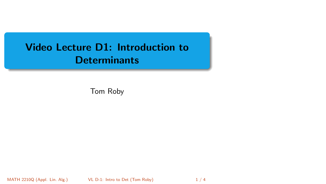# <span id="page-0-0"></span>Video Lecture D1: Introduction to **Determinants**

Tom Roby

MATH 2210Q (Appl. Lin. Alg.) [VL D-1: Intro to Det](#page-3-0) (Tom Roby) 1/4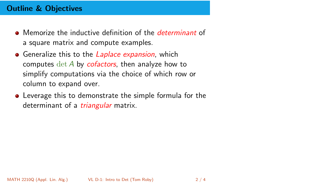## Outline & Objectives

- **•** Memorize the inductive definition of the *determinant* of a square matrix and compute examples.
- **•** Generalize this to the *Laplace expansion*, which computes  $\det A$  by *cofactors*, then analyze how to simplify computations via the choice of which row or column to expand over.
- Leverage this to demonstrate the simple formula for the determinant of a *triangular* matrix.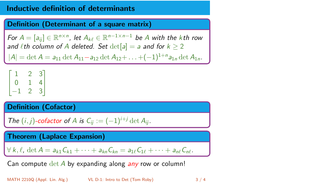## Inductive definition of determinants

#### Definition (Determinant of a square matrix)

For  $A = [a_{ij}] \in \mathbb{R}^{n \times n}$ , let  $A_{k\ell} \in \mathbb{R}^{n-1 \times n-1}$  be A with the  $k$ th row and  $\ell$ th column of A deleted. Set  $\det[a] = a$  and for  $k \ge 2$ 

 $|A| = \det A = a_{11} \det A_{11} - a_{12} \det A_{12} + \ldots + (-1)^{1+n} a_{1n} \det A_{1n}$ 

Т  $\mathbf{I}$ 1 2 3 0 1 4 −1 2 3 1 T

### Definition (Cofactor)

The 
$$
(i, j)
$$
-cofactor of A is  $C_{ij} := (-1)^{i+j} \det A_{ij}$ .

Theorem (Laplace Expansion)

$$
\forall k, \ell, \det A = a_{k1} C_{k1} + \cdots + a_{kn} C_{kn} = a_{1\ell} C_{1\ell} + \cdots + a_{n\ell} C_{n\ell}.
$$

Can compute  $\det A$  by expanding along any row or column!

MATH 2210Q (Appl. Lin. Alg.) [VL D-1: Intro to Det](#page-0-0) (Tom Roby) 3 / 4